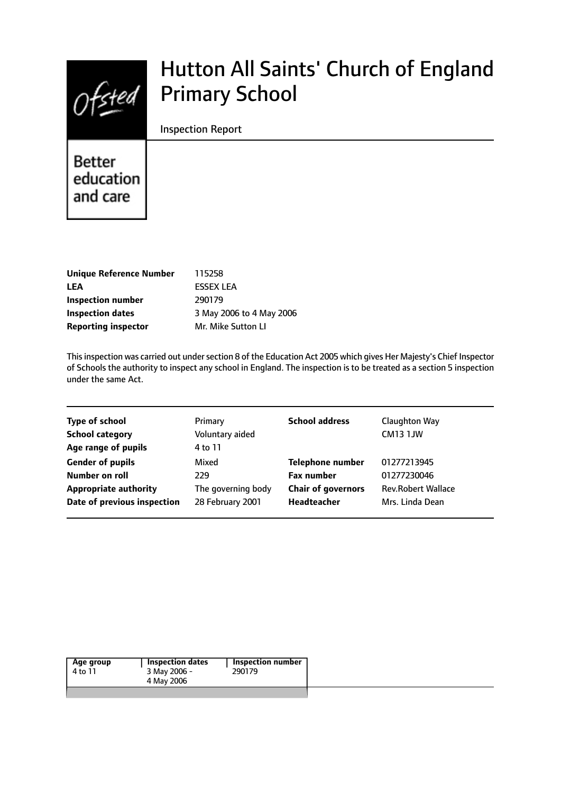$Of$ sted

# Hutton All Saints' Church of England Primary School

#### Inspection Report

Better education and care

| Unique Reference Number    | 115258                   |
|----------------------------|--------------------------|
| <b>LEA</b>                 | <b>FSSEX LEA</b>         |
| Inspection number          | 290179                   |
| <b>Inspection dates</b>    | 3 May 2006 to 4 May 2006 |
| <b>Reporting inspector</b> | Mr. Mike Sutton LI       |

This inspection was carried out under section 8 of the Education Act 2005 which gives Her Majesty's Chief Inspector of Schools the authority to inspect any school in England. The inspection is to be treated as a section 5 inspection under the same Act.

| Primary            | <b>School address</b>     | Claughton Way             |
|--------------------|---------------------------|---------------------------|
| Voluntary aided    |                           | <b>CM13 1JW</b>           |
| 4 to 11            |                           |                           |
| Mixed              | <b>Telephone number</b>   | 01277213945               |
| 229                | <b>Fax number</b>         | 01277230046               |
| The governing body | <b>Chair of governors</b> | <b>Rev.Robert Wallace</b> |
| 28 February 2001   | Headteacher               | Mrs. Linda Dean           |
|                    |                           |                           |

| Age group | Inspection dates | Inspection number |
|-----------|------------------|-------------------|
| 4 to 11   | 3 May 2006 -     | 290179            |
|           | 4 May 2006       |                   |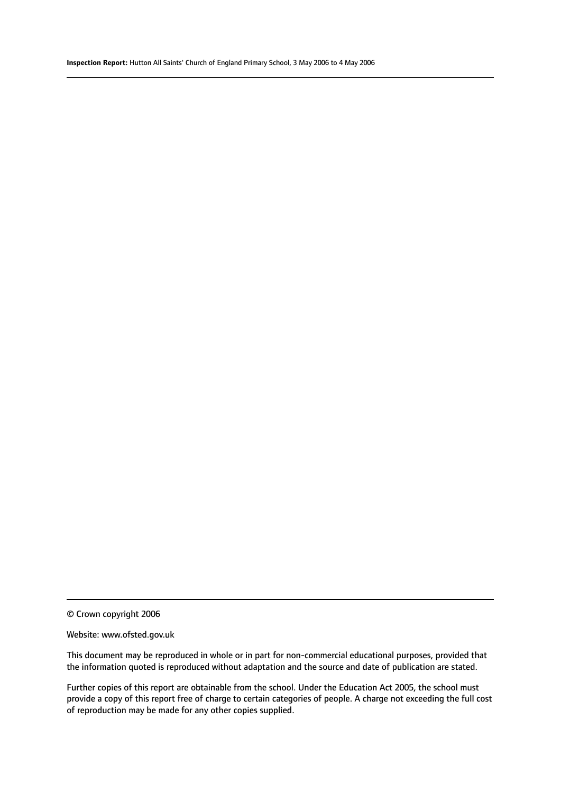#### Website: www.ofsted.gov.uk

This document may be reproduced in whole or in part for non-commercial educational purposes, provided that the information quoted is reproduced without adaptation and the source and date of publication are stated.

Further copies of this report are obtainable from the school. Under the Education Act 2005, the school must provide a copy of this report free of charge to certain categories of people. A charge not exceeding the full cost of reproduction may be made for any other copies supplied.

<sup>©</sup> Crown copyright 2006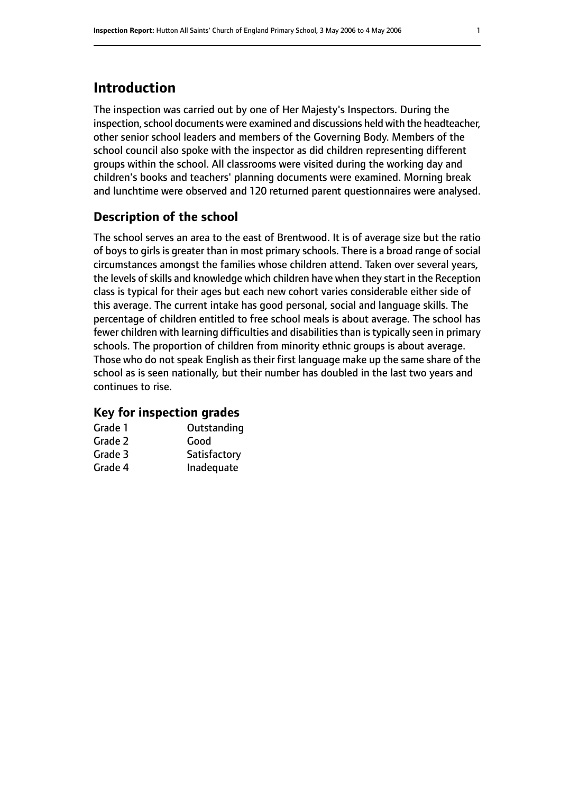# **Introduction**

The inspection was carried out by one of Her Majesty's Inspectors. During the inspection, school documents were examined and discussions held with the headteacher, other senior school leaders and members of the Governing Body. Members of the school council also spoke with the inspector as did children representing different groups within the school. All classrooms were visited during the working day and children's books and teachers' planning documents were examined. Morning break and lunchtime were observed and 120 returned parent questionnaires were analysed.

## **Description of the school**

The school serves an area to the east of Brentwood. It is of average size but the ratio of boys to girls is greater than in most primary schools. There is a broad range of social circumstances amongst the families whose children attend. Taken over several years, the levels of skills and knowledge which children have when they start in the Reception class is typical for their ages but each new cohort varies considerable either side of this average. The current intake has good personal, social and language skills. The percentage of children entitled to free school meals is about average. The school has fewer children with learning difficulties and disabilities than is typically seen in primary schools. The proportion of children from minority ethnic groups is about average. Those who do not speak English as their first language make up the same share of the school as is seen nationally, but their number has doubled in the last two years and continues to rise.

## **Key for inspection grades**

| Grade 1 | Outstanding  |
|---------|--------------|
| Grade 2 | Good         |
| Grade 3 | Satisfactory |
| Grade 4 | Inadequate   |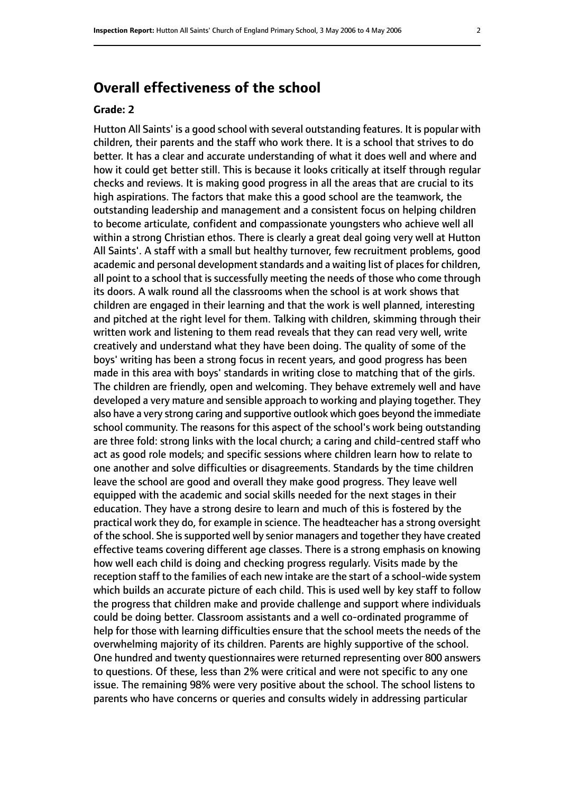# **Overall effectiveness of the school**

#### **Grade: 2**

Hutton All Saints' is a good school with several outstanding features. It is popular with children, their parents and the staff who work there. It is a school that strives to do better. It has a clear and accurate understanding of what it does well and where and how it could get better still. This is because it looks critically at itself through regular checks and reviews. It is making good progress in all the areas that are crucial to its high aspirations. The factors that make this a good school are the teamwork, the outstanding leadership and management and a consistent focus on helping children to become articulate, confident and compassionate youngsters who achieve well all within a strong Christian ethos. There is clearly a great deal going very well at Hutton All Saints'. A staff with a small but healthy turnover, few recruitment problems, good academic and personal development standards and a waiting list of places for children, all point to a school that is successfully meeting the needs of those who come through its doors. A walk round all the classrooms when the school is at work shows that children are engaged in their learning and that the work is well planned, interesting and pitched at the right level for them. Talking with children, skimming through their written work and listening to them read reveals that they can read very well, write creatively and understand what they have been doing. The quality of some of the boys' writing has been a strong focus in recent years, and good progress has been made in this area with boys' standards in writing close to matching that of the girls. The children are friendly, open and welcoming. They behave extremely well and have developed a very mature and sensible approach to working and playing together. They also have a very strong caring and supportive outlook which goes beyond the immediate school community. The reasons for this aspect of the school's work being outstanding are three fold: strong links with the local church; a caring and child-centred staff who act as good role models; and specific sessions where children learn how to relate to one another and solve difficulties or disagreements. Standards by the time children leave the school are good and overall they make good progress. They leave well equipped with the academic and social skills needed for the next stages in their education. They have a strong desire to learn and much of this is fostered by the practical work they do, for example in science. The headteacher has a strong oversight of the school. She is supported well by senior managers and together they have created effective teams covering different age classes. There is a strong emphasis on knowing how well each child is doing and checking progress regularly. Visits made by the reception staff to the families of each new intake are the start of a school-wide system which builds an accurate picture of each child. This is used well by key staff to follow the progress that children make and provide challenge and support where individuals could be doing better. Classroom assistants and a well co-ordinated programme of help for those with learning difficulties ensure that the school meets the needs of the overwhelming majority of its children. Parents are highly supportive of the school. One hundred and twenty questionnaires were returned representing over 800 answers to questions. Of these, less than 2% were critical and were not specific to any one issue. The remaining 98% were very positive about the school. The school listens to parents who have concerns or queries and consults widely in addressing particular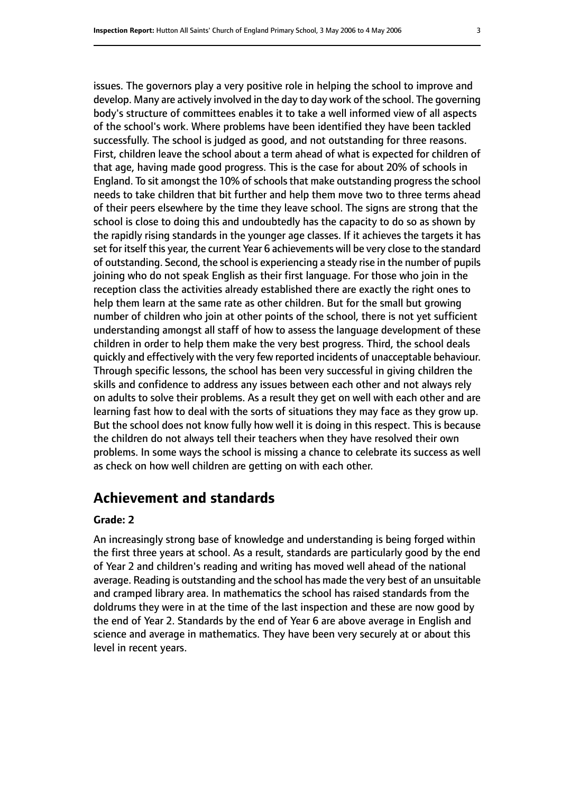issues. The governors play a very positive role in helping the school to improve and develop. Many are actively involved in the day to day work of the school. The governing body's structure of committees enables it to take a well informed view of all aspects of the school's work. Where problems have been identified they have been tackled successfully. The school is judged as good, and not outstanding for three reasons. First, children leave the school about a term ahead of what is expected for children of that age, having made good progress. This is the case for about 20% of schools in England. To sit amongst the 10% of schools that make outstanding progress the school needs to take children that bit further and help them move two to three terms ahead of their peers elsewhere by the time they leave school. The signs are strong that the school is close to doing this and undoubtedly has the capacity to do so as shown by the rapidly rising standards in the younger age classes. If it achieves the targets it has set for itself this year, the current Year 6 achievements will be very close to the standard of outstanding. Second, the school is experiencing a steady rise in the number of pupils joining who do not speak English as their first language. For those who join in the reception class the activities already established there are exactly the right ones to help them learn at the same rate as other children. But for the small but growing number of children who join at other points of the school, there is not yet sufficient understanding amongst all staff of how to assess the language development of these children in order to help them make the very best progress. Third, the school deals quickly and effectively with the very few reported incidents of unacceptable behaviour. Through specific lessons, the school has been very successful in giving children the skills and confidence to address any issues between each other and not always rely on adults to solve their problems. As a result they get on well with each other and are learning fast how to deal with the sorts of situations they may face as they grow up. But the school does not know fully how well it is doing in this respect. This is because the children do not always tell their teachers when they have resolved their own problems. In some ways the school is missing a chance to celebrate its success as well as check on how well children are getting on with each other.

# **Achievement and standards**

#### **Grade: 2**

An increasingly strong base of knowledge and understanding is being forged within the first three years at school. As a result, standards are particularly good by the end of Year 2 and children's reading and writing has moved well ahead of the national average. Reading is outstanding and the school has made the very best of an unsuitable and cramped library area. In mathematics the school has raised standards from the doldrums they were in at the time of the last inspection and these are now good by the end of Year 2. Standards by the end of Year 6 are above average in English and science and average in mathematics. They have been very securely at or about this level in recent years.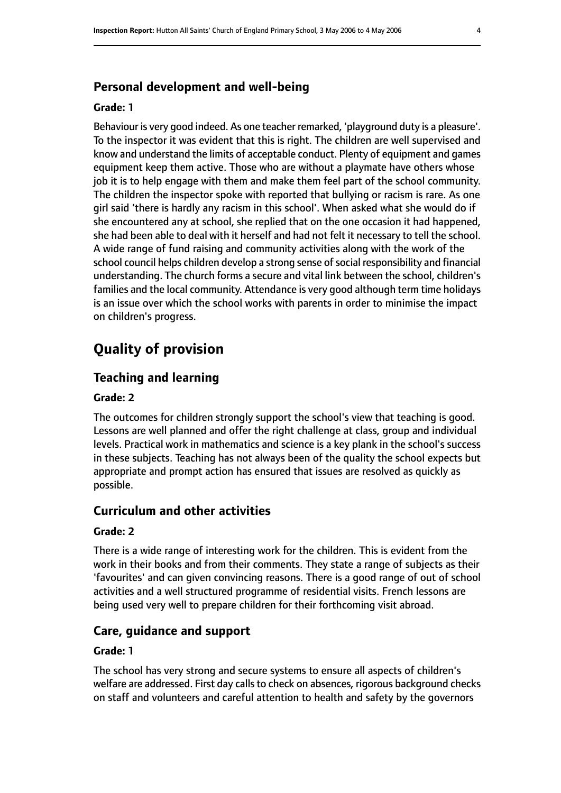#### **Personal development and well-being**

#### **Grade: 1**

Behaviour is very good indeed. As one teacher remarked, 'playground duty is a pleasure'. To the inspector it was evident that this is right. The children are well supervised and know and understand the limits of acceptable conduct. Plenty of equipment and games equipment keep them active. Those who are without a playmate have others whose job it is to help engage with them and make them feel part of the school community. The children the inspector spoke with reported that bullying or racism is rare. As one girl said 'there is hardly any racism in this school'. When asked what she would do if she encountered any at school, she replied that on the one occasion it had happened, she had been able to deal with it herself and had not felt it necessary to tell the school. A wide range of fund raising and community activities along with the work of the school council helps children develop a strong sense of social responsibility and financial understanding. The church forms a secure and vital link between the school, children's families and the local community. Attendance is very good although term time holidays is an issue over which the school works with parents in order to minimise the impact on children's progress.

# **Quality of provision**

## **Teaching and learning**

#### **Grade: 2**

The outcomes for children strongly support the school's view that teaching is good. Lessons are well planned and offer the right challenge at class, group and individual levels. Practical work in mathematics and science is a key plank in the school's success in these subjects. Teaching has not always been of the quality the school expects but appropriate and prompt action has ensured that issues are resolved as quickly as possible.

#### **Curriculum and other activities**

#### **Grade: 2**

There is a wide range of interesting work for the children. This is evident from the work in their books and from their comments. They state a range of subjects as their 'favourites' and can given convincing reasons. There is a good range of out of school activities and a well structured programme of residential visits. French lessons are being used very well to prepare children for their forthcoming visit abroad.

#### **Care, guidance and support**

#### **Grade: 1**

The school has very strong and secure systems to ensure all aspects of children's welfare are addressed. First day calls to check on absences, rigorous background checks on staff and volunteers and careful attention to health and safety by the governors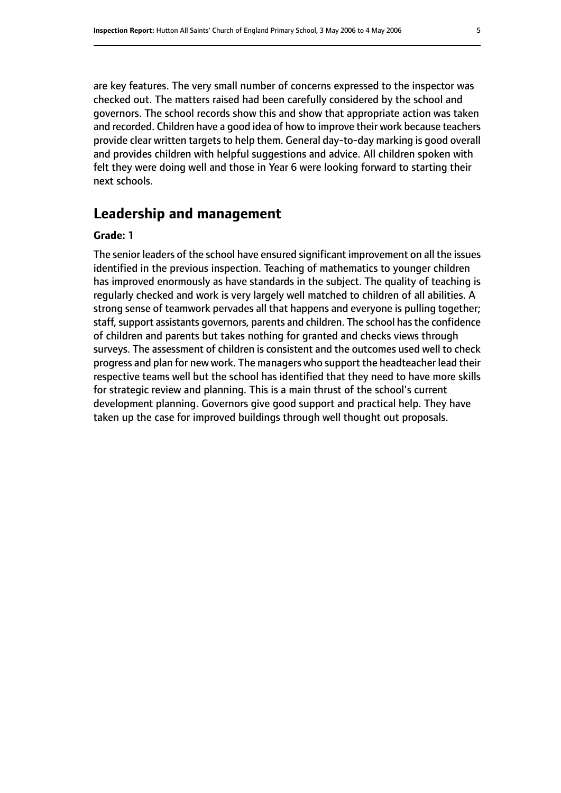are key features. The very small number of concerns expressed to the inspector was checked out. The matters raised had been carefully considered by the school and governors. The school records show this and show that appropriate action was taken and recorded. Children have a good idea of how to improve their work because teachers provide clear written targets to help them. General day-to-day marking is good overall and provides children with helpful suggestions and advice. All children spoken with felt they were doing well and those in Year 6 were looking forward to starting their next schools.

# **Leadership and management**

#### **Grade: 1**

The senior leaders of the school have ensured significant improvement on all the issues identified in the previous inspection. Teaching of mathematics to younger children has improved enormously as have standards in the subject. The quality of teaching is regularly checked and work is very largely well matched to children of all abilities. A strong sense of teamwork pervades all that happens and everyone is pulling together; staff, support assistants governors, parents and children. The school has the confidence of children and parents but takes nothing for granted and checks views through surveys. The assessment of children is consistent and the outcomes used well to check progress and plan for new work. The managers who support the headteacher lead their respective teams well but the school has identified that they need to have more skills for strategic review and planning. This is a main thrust of the school's current development planning. Governors give good support and practical help. They have taken up the case for improved buildings through well thought out proposals.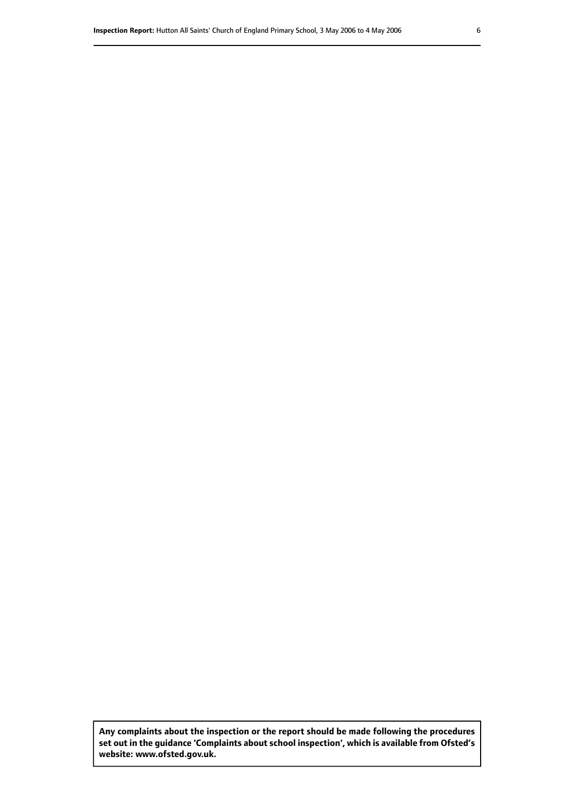**Any complaints about the inspection or the report should be made following the procedures set out inthe guidance 'Complaints about school inspection', whichis available from Ofsted's website: www.ofsted.gov.uk.**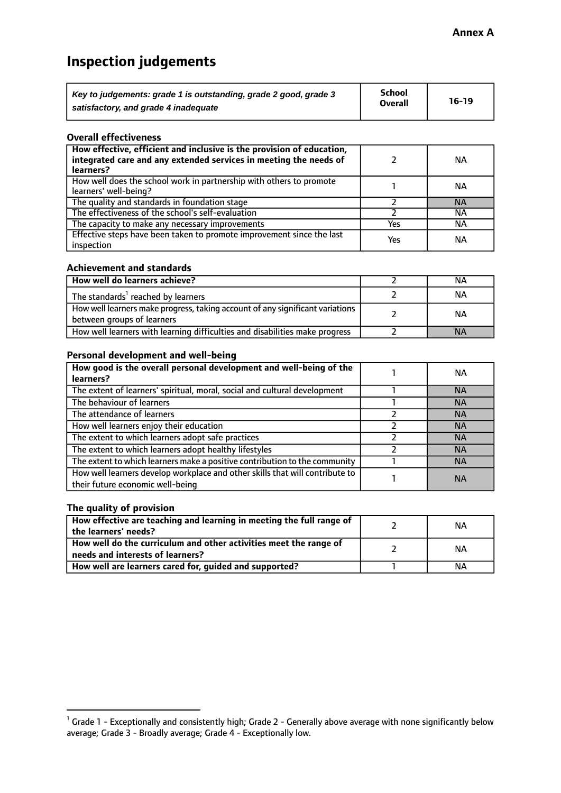# **Inspection judgements**

| Key to judgements: grade 1 is outstanding, grade 2 good, grade 3 | <b>School</b>  | $16-19$ |
|------------------------------------------------------------------|----------------|---------|
| satisfactory, and grade 4 inadequate                             | <b>Overall</b> |         |

#### **Overall effectiveness**

| How effective, efficient and inclusive is the provision of education,<br>integrated care and any extended services in meeting the needs of<br>learners? |     | NА        |
|---------------------------------------------------------------------------------------------------------------------------------------------------------|-----|-----------|
| How well does the school work in partnership with others to promote<br>learners' well-being?                                                            |     | NА        |
| The quality and standards in foundation stage                                                                                                           |     | <b>NA</b> |
| The effectiveness of the school's self-evaluation                                                                                                       |     | NА        |
| The capacity to make any necessary improvements                                                                                                         | Yes | NА        |
| Effective steps have been taken to promote improvement since the last<br>inspection                                                                     | Yes | <b>NA</b> |

#### **Achievement and standards**

| How well do learners achieve?                                                                               | ΝA        |
|-------------------------------------------------------------------------------------------------------------|-----------|
| The standards <sup>1</sup> reached by learners                                                              | NА        |
| How well learners make progress, taking account of any significant variations<br>between groups of learners | <b>NA</b> |
| How well learners with learning difficulties and disabilities make progress                                 | <b>NA</b> |

#### **Personal development and well-being**

| How good is the overall personal development and well-being of the<br>learners?                                  | ΝA        |
|------------------------------------------------------------------------------------------------------------------|-----------|
| The extent of learners' spiritual, moral, social and cultural development                                        | <b>NA</b> |
| The behaviour of learners                                                                                        | <b>NA</b> |
| The attendance of learners                                                                                       | <b>NA</b> |
| How well learners enjoy their education                                                                          | <b>NA</b> |
| The extent to which learners adopt safe practices                                                                | <b>NA</b> |
| The extent to which learners adopt healthy lifestyles                                                            | <b>NA</b> |
| The extent to which learners make a positive contribution to the community                                       | <b>NA</b> |
| How well learners develop workplace and other skills that will contribute to<br>their future economic well-being | <b>NA</b> |

## **The quality of provision**

| How effective are teaching and learning in meeting the full range of<br>the learners' needs?          | ΝA |
|-------------------------------------------------------------------------------------------------------|----|
| How well do the curriculum and other activities meet the range of<br>needs and interests of learners? | ΝA |
| How well are learners cared for, guided and supported?                                                | NА |

 $^1$  Grade 1 - Exceptionally and consistently high; Grade 2 - Generally above average with none significantly below average; Grade 3 - Broadly average; Grade 4 - Exceptionally low.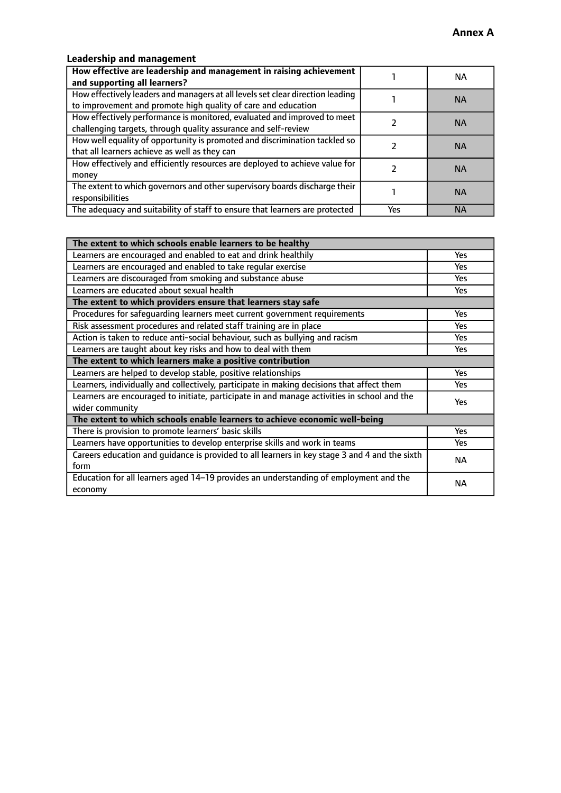# **Leadership and management**

| How effective are leadership and management in raising achievement<br>and supporting all learners?                                              |     | NA.       |
|-------------------------------------------------------------------------------------------------------------------------------------------------|-----|-----------|
| How effectively leaders and managers at all levels set clear direction leading<br>to improvement and promote high quality of care and education |     | <b>NA</b> |
| How effectively performance is monitored, evaluated and improved to meet<br>challenging targets, through quality assurance and self-review      |     | <b>NA</b> |
| How well equality of opportunity is promoted and discrimination tackled so<br>that all learners achieve as well as they can                     |     | <b>NA</b> |
| How effectively and efficiently resources are deployed to achieve value for<br>money                                                            |     | <b>NA</b> |
| The extent to which governors and other supervisory boards discharge their<br>responsibilities                                                  |     | <b>NA</b> |
| The adequacy and suitability of staff to ensure that learners are protected                                                                     | Yes | <b>NA</b> |

| The extent to which schools enable learners to be healthy                                     |            |  |
|-----------------------------------------------------------------------------------------------|------------|--|
| Learners are encouraged and enabled to eat and drink healthily                                | Yes        |  |
| Learners are encouraged and enabled to take regular exercise                                  | Yes        |  |
| Learners are discouraged from smoking and substance abuse                                     | <b>Yes</b> |  |
| Learners are educated about sexual health                                                     | <b>Yes</b> |  |
| The extent to which providers ensure that learners stay safe                                  |            |  |
| Procedures for safequarding learners meet current government requirements                     | Yes        |  |
| Risk assessment procedures and related staff training are in place                            | Yes        |  |
| Action is taken to reduce anti-social behaviour, such as bullying and racism                  | Yes        |  |
| Learners are taught about key risks and how to deal with them                                 |            |  |
| The extent to which learners make a positive contribution                                     |            |  |
| Learners are helped to develop stable, positive relationships                                 | Yes        |  |
| Learners, individually and collectively, participate in making decisions that affect them     | Yes        |  |
| Learners are encouraged to initiate, participate in and manage activities in school and the   |            |  |
| wider community                                                                               | <b>Yes</b> |  |
| The extent to which schools enable learners to achieve economic well-being                    |            |  |
| There is provision to promote learners' basic skills                                          | Yes        |  |
| Learners have opportunities to develop enterprise skills and work in teams                    | <b>Yes</b> |  |
| Careers education and guidance is provided to all learners in key stage 3 and 4 and the sixth | <b>NA</b>  |  |
| form                                                                                          |            |  |
| Education for all learners aged 14-19 provides an understanding of employment and the         | NА         |  |
| economy                                                                                       |            |  |